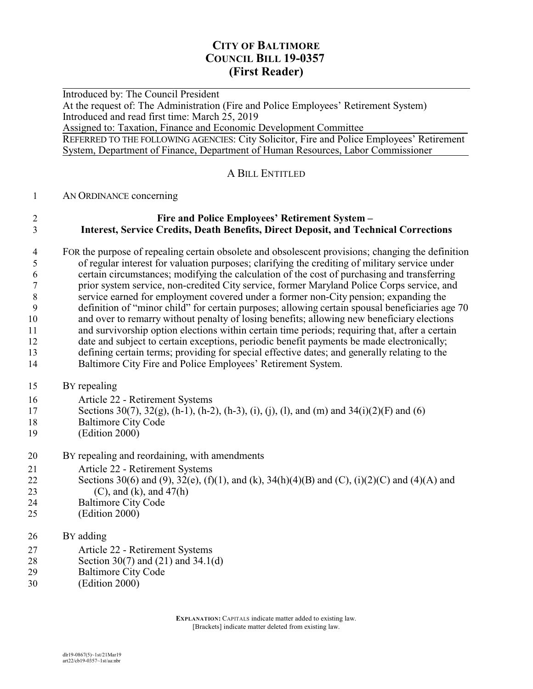## **CITY OF BALTIMORE COUNCIL BILL 19-0357 (First Reader)**

 $\overline{a}$ Introduced by: The Council President At the request of: The Administration (Fire and Police Employees' Retirement System) Introduced and read first time: March 25, 2019 Assigned to: Taxation, Finance and Economic Development Committee REFERRED TO THE FOLLOWING AGENCIES: City Solicitor, Fire and Police Employees' Retirement System, Department of Finance, Department of Human Resources, Labor Commissioner

#### A BILL ENTITLED

#### AN ORDINANCE concerning

#### **Fire and Police Employees' Retirement System – Interest, Service Credits, Death Benefits, Direct Deposit, and Technical Corrections**

- FOR the purpose of repealing certain obsolete and obsolescent provisions; changing the definition<br>of regular interest for valuation purposes; clarifying the crediting of military service under of regular interest for valuation purposes; clarifying the crediting of military service under certain circumstances; modifying the calculation of the cost of purchasing and transferring prior system service, non-credited City service, former Maryland Police Corps service, and service earned for employment covered under a former non-City pension; expanding the definition of "minor child" for certain purposes; allowing certain spousal beneficiaries age 70 and over to remarry without penalty of losing benefits; allowing new beneficiary elections and survivorship option elections within certain time periods; requiring that, after a certain date and subject to certain exceptions, periodic benefit payments be made electronically; defining certain terms; providing for special effective dates; and generally relating to the Baltimore City Fire and Police Employees' Retirement System.
- BY repealing
- Article 22 Retirement Systems
- Sections 30(7), 32(g), (h-1), (h-2), (h-3), (i), (j), (l), and (m) and 34(i)(2)(F) and (6)
- Baltimore City Code
- (Edition 2000)
- BY repealing and reordaining, with amendments
- Article 22 Retirement Systems
- 22 Sections 30(6) and (9), 32(e), (f)(1), and (k), 34(h)(4)(B) and (C), (i)(2)(C) and (4)(A) and (C), and (k), and 47(h)
- Baltimore City Code
- (Edition 2000)
- BY adding
- Article 22 Retirement Systems
- Section 30(7) and (21) and 34.1(d)
- Baltimore City Code
- (Edition 2000)

**EXPLANATION:** CAPITALS indicate matter added to existing law. [Brackets] indicate matter deleted from existing law.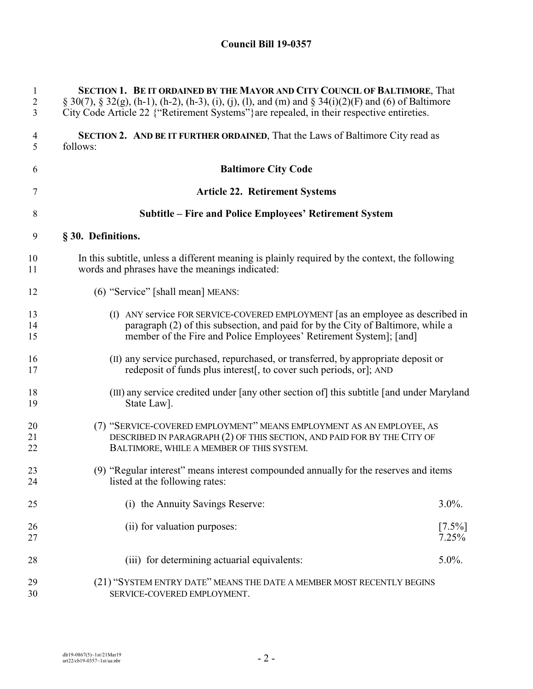| 1<br>$\sqrt{2}$<br>3 | SECTION 1. BE IT ORDAINED BY THE MAYOR AND CITY COUNCIL OF BALTIMORE, That<br>$\S 30(7)$ , $\S 32(g)$ , (h-1), (h-2), (h-3), (i), (j), (l), and (m) and $\S 34(i)(2)(F)$ and (6) of Baltimore<br>City Code Article 22 {"Retirement Systems"} are repealed, in their respective entireties. |                    |
|----------------------|--------------------------------------------------------------------------------------------------------------------------------------------------------------------------------------------------------------------------------------------------------------------------------------------|--------------------|
| 4<br>5               | SECTION 2. AND BE IT FURTHER ORDAINED, That the Laws of Baltimore City read as<br>follows:                                                                                                                                                                                                 |                    |
| 6                    | <b>Baltimore City Code</b>                                                                                                                                                                                                                                                                 |                    |
| 7                    | <b>Article 22. Retirement Systems</b>                                                                                                                                                                                                                                                      |                    |
| 8                    | Subtitle – Fire and Police Employees' Retirement System                                                                                                                                                                                                                                    |                    |
| 9                    | § 30. Definitions.                                                                                                                                                                                                                                                                         |                    |
| 10<br>11             | In this subtitle, unless a different meaning is plainly required by the context, the following<br>words and phrases have the meanings indicated:                                                                                                                                           |                    |
| 12                   | (6) "Service" [shall mean] MEANS:                                                                                                                                                                                                                                                          |                    |
| 13<br>14<br>15       | (I) ANY service FOR SERVICE-COVERED EMPLOYMENT [as an employee as described in<br>paragraph (2) of this subsection, and paid for by the City of Baltimore, while a<br>member of the Fire and Police Employees' Retirement System]; [and]                                                   |                    |
| 16<br>17             | (II) any service purchased, repurchased, or transferred, by appropriate deposit or<br>redeposit of funds plus interest, to cover such periods, or, AND                                                                                                                                     |                    |
| 18<br>19             | (III) any service credited under [any other section of] this subtitle [and under Maryland<br>State Law.                                                                                                                                                                                    |                    |
| 20<br>21<br>22       | (7) "SERVICE-COVERED EMPLOYMENT" MEANS EMPLOYMENT AS AN EMPLOYEE, AS<br>DESCRIBED IN PARAGRAPH (2) OF THIS SECTION, AND PAID FOR BY THE CITY OF<br>BALTIMORE, WHILE A MEMBER OF THIS SYSTEM.                                                                                               |                    |
| 23<br>24             | (9) "Regular interest" means interest compounded annually for the reserves and items<br>listed at the following rates:                                                                                                                                                                     |                    |
| 25                   | (i) the Annuity Savings Reserve:                                                                                                                                                                                                                                                           | $3.0\%$ .          |
| 26<br>27             | (ii) for valuation purposes:                                                                                                                                                                                                                                                               | $[7.5\%]$<br>7.25% |
| 28                   | (iii) for determining actuarial equivalents:                                                                                                                                                                                                                                               | $5.0\%$ .          |
| 29<br>30             | (21) "SYSTEM ENTRY DATE" MEANS THE DATE A MEMBER MOST RECENTLY BEGINS<br>SERVICE-COVERED EMPLOYMENT.                                                                                                                                                                                       |                    |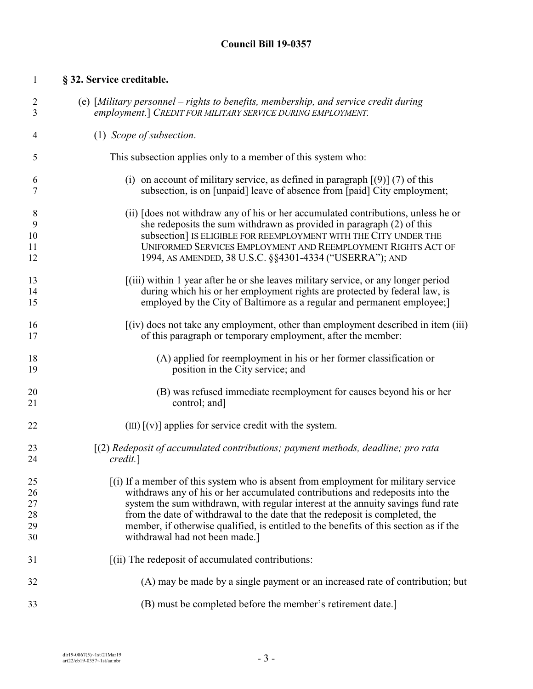# **§ 32. Service creditable.**

| $\mathfrak{2}$ | (e) [Military personnel – rights to benefits, membership, and service credit during   |
|----------------|---------------------------------------------------------------------------------------|
| 3              | employment.] CREDIT FOR MILITARY SERVICE DURING EMPLOYMENT.                           |
| 4              | (1) Scope of subsection.                                                              |
| 5              | This subsection applies only to a member of this system who:                          |
| 6              | (i) on account of military service, as defined in paragraph $(9)$ (7) of this         |
| 7              | subsection, is on [unpaid] leave of absence from [paid] City employment;              |
| 8              | (ii) [does not withdraw any of his or her accumulated contributions, unless he or     |
| 9              | she redeposits the sum withdrawn as provided in paragraph (2) of this                 |
| 10             | subsection] IS ELIGIBLE FOR REEMPLOYMENT WITH THE CITY UNDER THE                      |
| 11             | UNIFORMED SERVICES EMPLOYMENT AND REEMPLOYMENT RIGHTS ACT OF                          |
| 12             | 1994, AS AMENDED, 38 U.S.C. §§4301-4334 ("USERRA"); AND                               |
| 13             | (iii) within 1 year after he or she leaves military service, or any longer period     |
| 14             | during which his or her employment rights are protected by federal law, is            |
| 15             | employed by the City of Baltimore as a regular and permanent employee;                |
| 16             | $(iv)$ does not take any employment, other than employment described in item (iii)    |
| 17             | of this paragraph or temporary employment, after the member:                          |
| 18             | (A) applied for reemployment in his or her former classification or                   |
| 19             | position in the City service; and                                                     |
| 20             | (B) was refused immediate reemployment for causes beyond his or her                   |
| 21             | control; and]                                                                         |
| 22             | $\text{(III)}$ $\text{(v)}$ applies for service credit with the system.               |
| 23             | $[(2)$ Redeposit of accumulated contributions; payment methods, deadline; pro rata    |
| 24             | $credit.$ ]                                                                           |
| 25             | [(i) If a member of this system who is absent from employment for military service    |
| 26             | withdraws any of his or her accumulated contributions and redeposits into the         |
| 27             | system the sum withdrawn, with regular interest at the annuity savings fund rate      |
| 28             | from the date of withdrawal to the date that the redeposit is completed, the          |
| 29             | member, if otherwise qualified, is entitled to the benefits of this section as if the |
| 30             | withdrawal had not been made.]                                                        |
| 31             | [(ii) The redeposit of accumulated contributions:                                     |
| 32             | (A) may be made by a single payment or an increased rate of contribution; but         |
| 33             | (B) must be completed before the member's retirement date.]                           |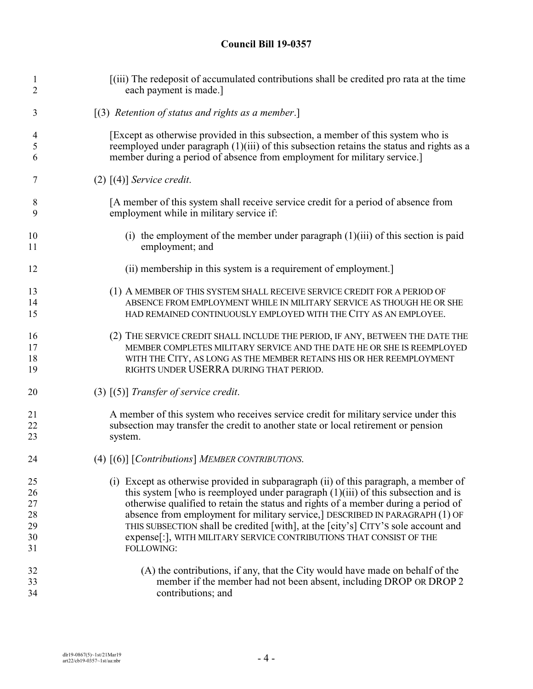| $\mathbf{1}$ | [(iii) The redeposit of accumulated contributions shall be credited pro rata at the time  |
|--------------|-------------------------------------------------------------------------------------------|
| 2            | each payment is made.]                                                                    |
| 3            | [(3) Retention of status and rights as a member.]                                         |
| 4            | [Except as otherwise provided in this subsection, a member of this system who is          |
| 5            | reemployed under paragraph (1)(iii) of this subsection retains the status and rights as a |
| 6            | member during a period of absence from employment for military service.]                  |
| 7            | $(2)$ [(4)] Service credit.                                                               |
| 8            | [A member of this system shall receive service credit for a period of absence from        |
| 9            | employment while in military service if:                                                  |
| 10           | (i) the employment of the member under paragraph $(1)(iii)$ of this section is paid       |
| 11           | employment; and                                                                           |
| 12           | (ii) membership in this system is a requirement of employment.                            |
| 13           | (1) A MEMBER OF THIS SYSTEM SHALL RECEIVE SERVICE CREDIT FOR A PERIOD OF                  |
| 14           | ABSENCE FROM EMPLOYMENT WHILE IN MILITARY SERVICE AS THOUGH HE OR SHE                     |
| 15           | HAD REMAINED CONTINUOUSLY EMPLOYED WITH THE CITY AS AN EMPLOYEE.                          |
| 16           | (2) THE SERVICE CREDIT SHALL INCLUDE THE PERIOD, IF ANY, BETWEEN THE DATE THE             |
| 17           | MEMBER COMPLETES MILITARY SERVICE AND THE DATE HE OR SHE IS REEMPLOYED                    |
| 18           | WITH THE CITY, AS LONG AS THE MEMBER RETAINS HIS OR HER REEMPLOYMENT                      |
| 19           | RIGHTS UNDER USERRA DURING THAT PERIOD.                                                   |
| 20           | $(3)$ $(5)$ Transfer of service credit.                                                   |
| 21           | A member of this system who receives service credit for military service under this       |
| 22           | subsection may transfer the credit to another state or local retirement or pension        |
| 23           | system.                                                                                   |
| 24           | (4) [(6)] [Contributions] MEMBER CONTRIBUTIONS.                                           |
| 25           | (i) Except as otherwise provided in subparagraph (ii) of this paragraph, a member of      |
| 26           | this system [who is reemployed under paragraph $(1)(iii)$ of this subsection and is       |
| 27           | otherwise qualified to retain the status and rights of a member during a period of        |
| 28           | absence from employment for military service,] DESCRIBED IN PARAGRAPH (1) OF              |
| 29           | THIS SUBSECTION shall be credited [with], at the [city's] CITY'S sole account and         |
| 30           | expense[:], WITH MILITARY SERVICE CONTRIBUTIONS THAT CONSIST OF THE                       |
| 31           | FOLLOWING:                                                                                |
| 32           | (A) the contributions, if any, that the City would have made on behalf of the             |
| 33           | member if the member had not been absent, including DROP OR DROP 2                        |
| 34           | contributions; and                                                                        |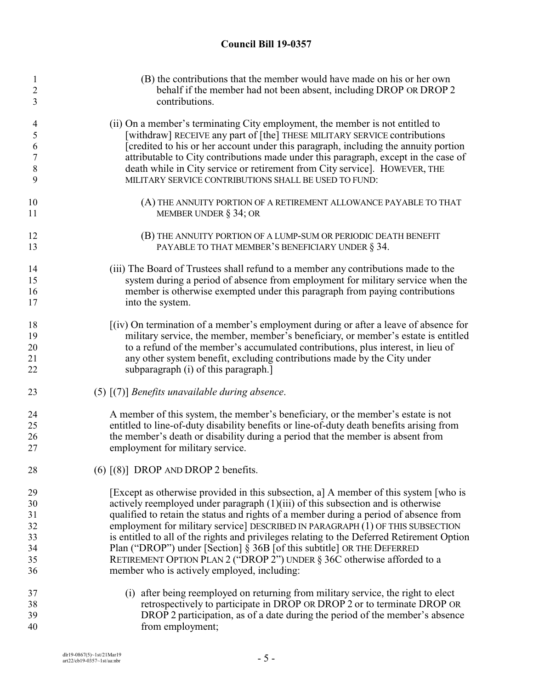| 1<br>2<br>3    | (B) the contributions that the member would have made on his or her own<br>behalf if the member had not been absent, including DROP OR DROP 2<br>contributions. |
|----------------|-----------------------------------------------------------------------------------------------------------------------------------------------------------------|
| $\overline{4}$ | (ii) On a member's terminating City employment, the member is not entitled to                                                                                   |
| 5              | [withdraw] RECEIVE any part of [the] THESE MILITARY SERVICE contributions                                                                                       |
| 6              | [credited to his or her account under this paragraph, including the annuity portion                                                                             |
| $\overline{7}$ | attributable to City contributions made under this paragraph, except in the case of                                                                             |
| 8              | death while in City service or retirement from City service]. HOWEVER, THE                                                                                      |
| 9              | MILITARY SERVICE CONTRIBUTIONS SHALL BE USED TO FUND:                                                                                                           |
| 10             | (A) THE ANNUITY PORTION OF A RETIREMENT ALLOWANCE PAYABLE TO THAT                                                                                               |
| 11             | MEMBER UNDER $\S$ 34; OR                                                                                                                                        |
| 12             | (B) THE ANNUITY PORTION OF A LUMP-SUM OR PERIODIC DEATH BENEFIT                                                                                                 |
| 13             | PAYABLE TO THAT MEMBER'S BENEFICIARY UNDER § 34.                                                                                                                |
| 14             | (iii) The Board of Trustees shall refund to a member any contributions made to the                                                                              |
| 15             | system during a period of absence from employment for military service when the                                                                                 |
| 16             | member is otherwise exempted under this paragraph from paying contributions                                                                                     |
| 17             | into the system.                                                                                                                                                |
| 18             | [(iv) On termination of a member's employment during or after a leave of absence for                                                                            |
| 19             | military service, the member, member's beneficiary, or member's estate is entitled                                                                              |
| 20             | to a refund of the member's accumulated contributions, plus interest, in lieu of                                                                                |
| 21             | any other system benefit, excluding contributions made by the City under                                                                                        |
| 22             | subparagraph (i) of this paragraph.]                                                                                                                            |
| 23             | $(5)$ $(7)$ ] Benefits unavailable during absence.                                                                                                              |
| 24             | A member of this system, the member's beneficiary, or the member's estate is not                                                                                |
| 25             | entitled to line-of-duty disability benefits or line-of-duty death benefits arising from                                                                        |
| 26             | the member's death or disability during a period that the member is absent from                                                                                 |
| 27             | employment for military service.                                                                                                                                |
| 28             | $(6)$ $[(8)]$ DROP AND DROP 2 benefits.                                                                                                                         |
| 29             | [Except as otherwise provided in this subsection, a] A member of this system [who is                                                                            |
| 30             | actively reemployed under paragraph $(1)(iii)$ of this subsection and is otherwise                                                                              |
| 31             | qualified to retain the status and rights of a member during a period of absence from                                                                           |
| 32             | employment for military service] DESCRIBED IN PARAGRAPH (1) OF THIS SUBSECTION                                                                                  |
| 33             | is entitled to all of the rights and privileges relating to the Deferred Retirement Option                                                                      |
| 34             | Plan ("DROP") under [Section] $\S$ 36B [of this subtitle] OR THE DEFERRED                                                                                       |
| 35             | RETIREMENT OPTION PLAN 2 ("DROP 2") UNDER § 36C otherwise afforded to a                                                                                         |
| 36             | member who is actively employed, including:                                                                                                                     |
| 37             | (i) after being reemployed on returning from military service, the right to elect                                                                               |
| 38             | retrospectively to participate in DROP OR DROP 2 or to terminate DROP OR                                                                                        |
| 39             | DROP 2 participation, as of a date during the period of the member's absence                                                                                    |
| 40             | from employment;                                                                                                                                                |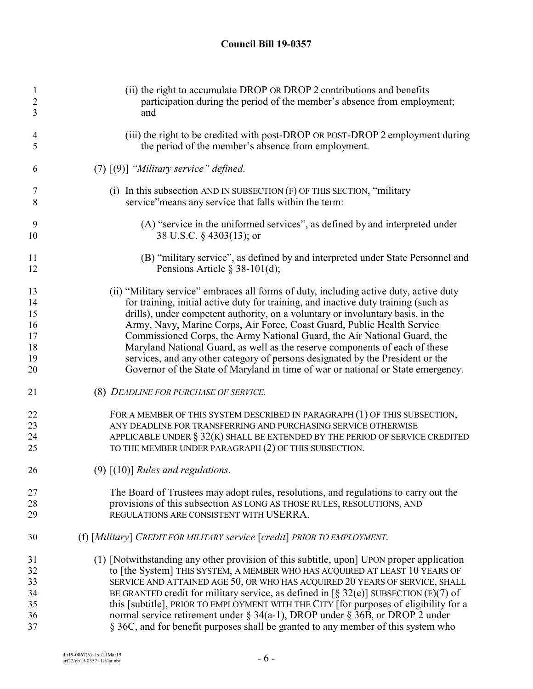| $\mathbf{1}$<br>$\overline{c}$<br>3 | (ii) the right to accumulate DROP OR DROP 2 contributions and benefits<br>participation during the period of the member's absence from employment;<br>and |
|-------------------------------------|-----------------------------------------------------------------------------------------------------------------------------------------------------------|
| 4<br>5                              | (iii) the right to be credited with post-DROP OR POST-DROP 2 employment during<br>the period of the member's absence from employment.                     |
| 6                                   | $(7)$ $(9)$ ] "Military service" defined.                                                                                                                 |
| 7<br>8                              | (i) In this subsection AND IN SUBSECTION $(F)$ OF THIS SECTION, "military<br>service" means any service that falls within the term:                       |
| 9<br>10                             | (A) "service in the uniformed services", as defined by and interpreted under<br>38 U.S.C. § 4303(13); or                                                  |
| 11<br>12                            | (B) "military service", as defined by and interpreted under State Personnel and<br>Pensions Article $\S$ 38-101(d);                                       |
| 13                                  | (ii) "Military service" embraces all forms of duty, including active duty, active duty                                                                    |
| 14                                  | for training, initial active duty for training, and inactive duty training (such as                                                                       |
| 15                                  | drills), under competent authority, on a voluntary or involuntary basis, in the                                                                           |
| 16                                  | Army, Navy, Marine Corps, Air Force, Coast Guard, Public Health Service                                                                                   |
| 17                                  | Commissioned Corps, the Army National Guard, the Air National Guard, the                                                                                  |
| 18                                  | Maryland National Guard, as well as the reserve components of each of these                                                                               |
| 19                                  | services, and any other category of persons designated by the President or the                                                                            |
| 20                                  | Governor of the State of Maryland in time of war or national or State emergency.                                                                          |
| 21                                  | (8) DEADLINE FOR PURCHASE OF SERVICE.                                                                                                                     |
| 22                                  | FOR A MEMBER OF THIS SYSTEM DESCRIBED IN PARAGRAPH (1) OF THIS SUBSECTION,                                                                                |
| 23                                  | ANY DEADLINE FOR TRANSFERRING AND PURCHASING SERVICE OTHERWISE                                                                                            |
| 24                                  | APPLICABLE UNDER $\S 32(K)$ SHALL BE EXTENDED BY THE PERIOD OF SERVICE CREDITED                                                                           |
| 25                                  | TO THE MEMBER UNDER PARAGRAPH (2) OF THIS SUBSECTION.                                                                                                     |
| 26                                  | $(9)$ $(10)$ ] Rules and regulations.                                                                                                                     |
| 27                                  | The Board of Trustees may adopt rules, resolutions, and regulations to carry out the                                                                      |
| 28                                  | provisions of this subsection AS LONG AS THOSE RULES, RESOLUTIONS, AND                                                                                    |
| 29                                  | REGULATIONS ARE CONSISTENT WITH USERRA.                                                                                                                   |
| 30                                  | (f) [Military] CREDIT FOR MILITARY service [credit] PRIOR TO EMPLOYMENT.                                                                                  |
| 31                                  | (1) [Notwithstanding any other provision of this subtitle, upon] UPON proper application                                                                  |
| 32                                  | to [the System] THIS SYSTEM, A MEMBER WHO HAS ACQUIRED AT LEAST 10 YEARS OF                                                                               |
| 33                                  | SERVICE AND ATTAINED AGE 50, OR WHO HAS ACQUIRED 20 YEARS OF SERVICE, SHALL                                                                               |
| 34                                  | BE GRANTED credit for military service, as defined in $\lceil \S 32(e) \rceil$ SUBSECTION (E)(7) of                                                       |
| 35                                  | this [subtitle], PRIOR TO EMPLOYMENT WITH THE CITY [for purposes of eligibility for a                                                                     |
| 36                                  | normal service retirement under $\S 34(a-1)$ , DROP under $\S 36B$ , or DROP 2 under                                                                      |
| 37                                  | § 36C, and for benefit purposes shall be granted to any member of this system who                                                                         |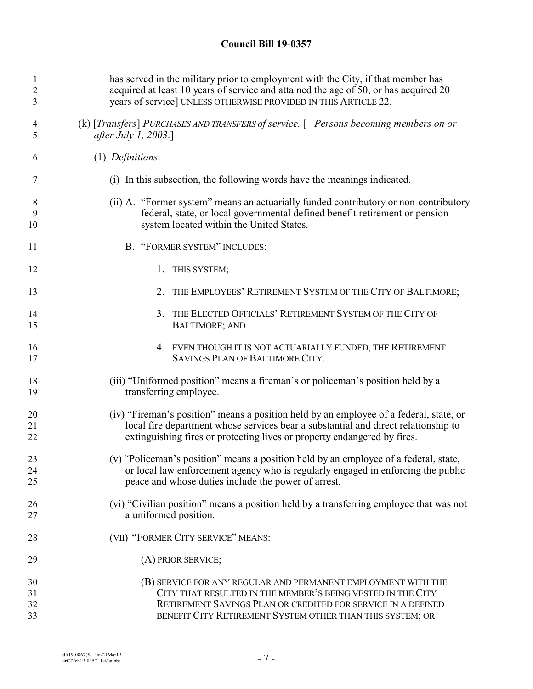| $\mathbf{1}$   | has served in the military prior to employment with the City, if that member has       |
|----------------|----------------------------------------------------------------------------------------|
| $\overline{2}$ | acquired at least 10 years of service and attained the age of 50, or has acquired 20   |
| 3              | years of service] UNLESS OTHERWISE PROVIDED IN THIS ARTICLE 22.                        |
| 4              | (k) [Transfers] PURCHASES AND TRANSFERS of service. [- Persons becoming members on or  |
| 5              | <i>after July 1, 2003.</i> ]                                                           |
| 6              | $(1)$ Definitions.                                                                     |
| 7              | (i) In this subsection, the following words have the meanings indicated.               |
| 8              | (ii) A. "Former system" means an actuarially funded contributory or non-contributory   |
| 9              | federal, state, or local governmental defined benefit retirement or pension            |
| 10             | system located within the United States.                                               |
| 11             | B. "FORMER SYSTEM" INCLUDES:                                                           |
| 12             | 1. THIS SYSTEM;                                                                        |
| 13             | 2.<br>THE EMPLOYEES' RETIREMENT SYSTEM OF THE CITY OF BALTIMORE;                       |
| 14             | 3. THE ELECTED OFFICIALS' RETIREMENT SYSTEM OF THE CITY OF                             |
| 15             | <b>BALTIMORE; AND</b>                                                                  |
| 16             | 4. EVEN THOUGH IT IS NOT ACTUARIALLY FUNDED, THE RETIREMENT                            |
| 17             | SAVINGS PLAN OF BALTIMORE CITY.                                                        |
| 18             | (iii) "Uniformed position" means a fireman's or policeman's position held by a         |
| 19             | transferring employee.                                                                 |
| 20             | (iv) "Fireman's position" means a position held by an employee of a federal, state, or |
| 21             | local fire department whose services bear a substantial and direct relationship to     |
| 22             | extinguishing fires or protecting lives or property endangered by fires.               |
| 23             | (v) "Policeman's position" means a position held by an employee of a federal, state,   |
| 24             | or local law enforcement agency who is regularly engaged in enforcing the public       |
| 25             | peace and whose duties include the power of arrest.                                    |
| 26             | (vi) "Civilian position" means a position held by a transferring employee that was not |
| 27             | a uniformed position.                                                                  |
| 28             | (VII) "FORMER CITY SERVICE" MEANS:                                                     |
| 29             | (A) PRIOR SERVICE;                                                                     |
| 30             | (B) SERVICE FOR ANY REGULAR AND PERMANENT EMPLOYMENT WITH THE                          |
| 31             | CITY THAT RESULTED IN THE MEMBER'S BEING VESTED IN THE CITY                            |
| 32             | RETIREMENT SAVINGS PLAN OR CREDITED FOR SERVICE IN A DEFINED                           |
| 33             | BENEFIT CITY RETIREMENT SYSTEM OTHER THAN THIS SYSTEM; OR                              |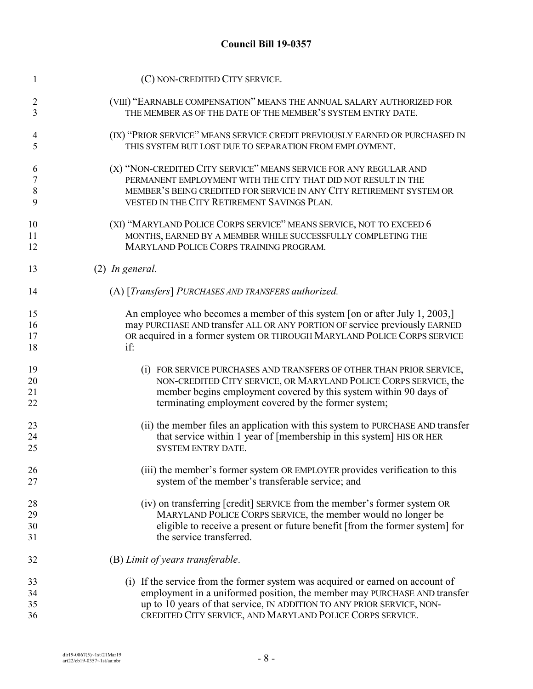| 1              | (C) NON-CREDITED CITY SERVICE.                                                 |
|----------------|--------------------------------------------------------------------------------|
| 2              | (VIII) "EARNABLE COMPENSATION" MEANS THE ANNUAL SALARY AUTHORIZED FOR          |
| 3              | THE MEMBER AS OF THE DATE OF THE MEMBER'S SYSTEM ENTRY DATE.                   |
| 4              | (IX) "PRIOR SERVICE" MEANS SERVICE CREDIT PREVIOUSLY EARNED OR PURCHASED IN    |
| 5              | THIS SYSTEM BUT LOST DUE TO SEPARATION FROM EMPLOYMENT.                        |
| 6              | (X) "NON-CREDITED CITY SERVICE" MEANS SERVICE FOR ANY REGULAR AND              |
| $\overline{7}$ | PERMANENT EMPLOYMENT WITH THE CITY THAT DID NOT RESULT IN THE                  |
| 8              | MEMBER'S BEING CREDITED FOR SERVICE IN ANY CITY RETIREMENT SYSTEM OR           |
| 9              | VESTED IN THE CITY RETIREMENT SAVINGS PLAN.                                    |
| 10             | (XI) "MARYLAND POLICE CORPS SERVICE" MEANS SERVICE, NOT TO EXCEED 6            |
| 11             | MONTHS, EARNED BY A MEMBER WHILE SUCCESSFULLY COMPLETING THE                   |
| 12             | MARYLAND POLICE CORPS TRAINING PROGRAM.                                        |
| 13             | $(2)$ In general.                                                              |
| 14             | (A) [Transfers] PURCHASES AND TRANSFERS authorized.                            |
| 15             | An employee who becomes a member of this system [on or after July 1, 2003,]    |
| 16             | may PURCHASE AND transfer ALL OR ANY PORTION OF service previously EARNED      |
| 17             | OR acquired in a former system OR THROUGH MARYLAND POLICE CORPS SERVICE        |
| 18             | if:                                                                            |
| 19             | (i) FOR SERVICE PURCHASES AND TRANSFERS OF OTHER THAN PRIOR SERVICE,           |
| 20             | NON-CREDITED CITY SERVICE, OR MARYLAND POLICE CORPS SERVICE, the               |
| 21             | member begins employment covered by this system within 90 days of              |
| 22             | terminating employment covered by the former system;                           |
| 23             | (ii) the member files an application with this system to PURCHASE AND transfer |
| 24             | that service within 1 year of [membership in this system] HIS OR HER           |
| 25             | <b>SYSTEM ENTRY DATE.</b>                                                      |
| 26             | (iii) the member's former system OR EMPLOYER provides verification to this     |
| 27             | system of the member's transferable service; and                               |
| 28             | (iv) on transferring [credit] SERVICE from the member's former system OR       |
| 29             | MARYLAND POLICE CORPS SERVICE, the member would no longer be                   |
| 30             | eligible to receive a present or future benefit [from the former system] for   |
| 31             | the service transferred.                                                       |
| 32             | (B) Limit of years transferable.                                               |
| 33             | (i) If the service from the former system was acquired or earned on account of |
| 34             | employment in a uniformed position, the member may PURCHASE AND transfer       |
| 35             | up to 10 years of that service, IN ADDITION TO ANY PRIOR SERVICE, NON-         |
| 36             | CREDITED CITY SERVICE, AND MARYLAND POLICE CORPS SERVICE.                      |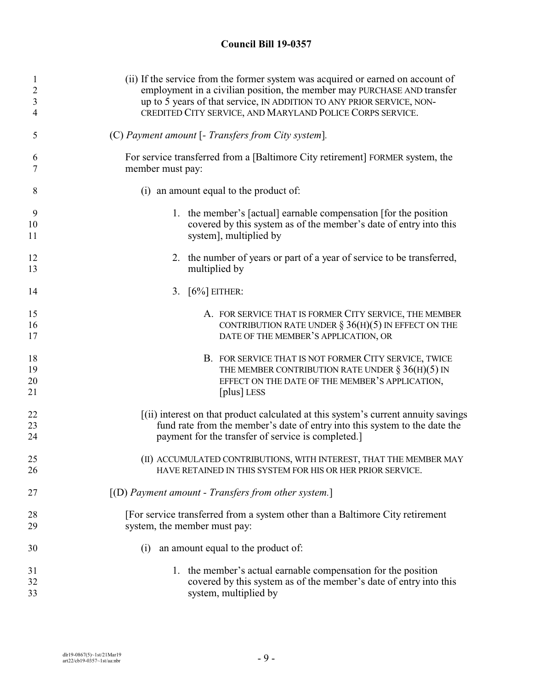| 1              | (ii) If the service from the former system was acquired or earned on account of    |
|----------------|------------------------------------------------------------------------------------|
| $\overline{c}$ | employment in a civilian position, the member may PURCHASE AND transfer            |
| $\mathfrak{Z}$ | up to 5 years of that service, IN ADDITION TO ANY PRIOR SERVICE, NON-              |
| 4              | CREDITED CITY SERVICE, AND MARYLAND POLICE CORPS SERVICE.                          |
| 5              | (C) Payment amount [- Transfers from City system].                                 |
| 6              | For service transferred from a [Baltimore City retirement] FORMER system, the      |
| 7              | member must pay:                                                                   |
| 8              | (i) an amount equal to the product of:                                             |
| 9              | 1. the member's [actual] earnable compensation [for the position]                  |
| 10             | covered by this system as of the member's date of entry into this                  |
| 11             | system], multiplied by                                                             |
| 12             | 2. the number of years or part of a year of service to be transferred,             |
| 13             | multiplied by                                                                      |
| 14             | 3. $[6\%]$ EITHER:                                                                 |
| 15             | A. FOR SERVICE THAT IS FORMER CITY SERVICE, THE MEMBER                             |
| 16             | CONTRIBUTION RATE UNDER $\S$ 36(H)(5) IN EFFECT ON THE                             |
| 17             | DATE OF THE MEMBER'S APPLICATION, OR                                               |
| 18             | B. FOR SERVICE THAT IS NOT FORMER CITY SERVICE, TWICE                              |
| 19             | THE MEMBER CONTRIBUTION RATE UNDER $\S 36(H)(5)$ IN                                |
| 20             | EFFECT ON THE DATE OF THE MEMBER'S APPLICATION,                                    |
| 21             | [plus] LESS                                                                        |
| 22             | [(ii) interest on that product calculated at this system's current annuity savings |
| 23             | fund rate from the member's date of entry into this system to the date the         |
| 24             | payment for the transfer of service is completed.                                  |
| 25             | (II) ACCUMULATED CONTRIBUTIONS, WITH INTEREST, THAT THE MEMBER MAY                 |
| 26             | HAVE RETAINED IN THIS SYSTEM FOR HIS OR HER PRIOR SERVICE.                         |
| 27             | $[(D)$ Payment amount - Transfers from other system.]                              |
| 28             | [For service transferred from a system other than a Baltimore City retirement      |
| 29             | system, the member must pay:                                                       |
| 30             | an amount equal to the product of:<br>(i)                                          |
| 31             | 1. the member's actual earnable compensation for the position                      |
| 32             | covered by this system as of the member's date of entry into this                  |
| 33             | system, multiplied by                                                              |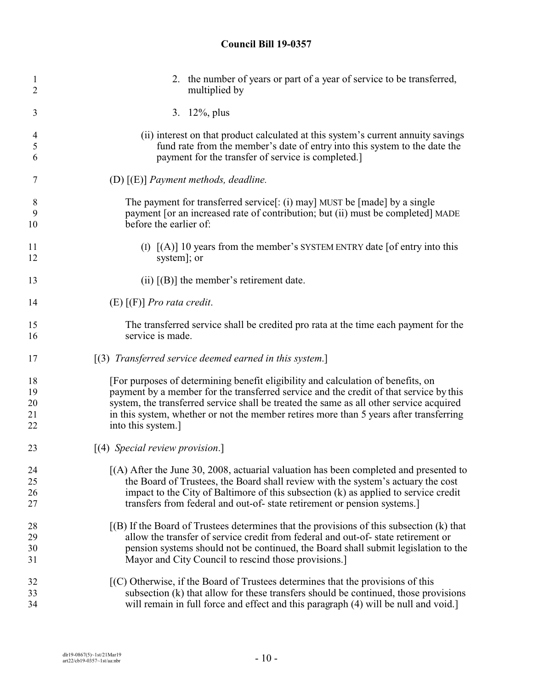| 1  | 2. the number of years or part of a year of service to be transferred,                       |
|----|----------------------------------------------------------------------------------------------|
| 2  | multiplied by                                                                                |
| 3  | 3. 12%, plus                                                                                 |
| 4  | (ii) interest on that product calculated at this system's current annuity savings            |
| 5  | fund rate from the member's date of entry into this system to the date the                   |
| 6  | payment for the transfer of service is completed.]                                           |
| 7  | (D) $[(E)]$ Payment methods, deadline.                                                       |
| 8  | The payment for transferred service[: (i) may] MUST be [made] by a single                    |
| 9  | payment [or an increased rate of contribution; but (ii) must be completed] MADE              |
| 10 | before the earlier of:                                                                       |
| 11 | (I) $[(A)]$ 10 years from the member's SYSTEM ENTRY date [of entry into this                 |
| 12 | system]; or                                                                                  |
| 13 | (ii) $[(B)]$ the member's retirement date.                                                   |
| 14 | $(E)$ $[(F)]$ <i>Pro rata credit.</i>                                                        |
| 15 | The transferred service shall be credited pro rata at the time each payment for the          |
| 16 | service is made.                                                                             |
| 17 | $[(3)$ Transferred service deemed earned in this system.]                                    |
| 18 | [For purposes of determining benefit eligibility and calculation of benefits, on             |
| 19 | payment by a member for the transferred service and the credit of that service by this       |
| 20 | system, the transferred service shall be treated the same as all other service acquired      |
| 21 | in this system, whether or not the member retires more than 5 years after transferring       |
| 22 | into this system.]                                                                           |
| 23 | $\left[ (4)$ Special review provision.]                                                      |
| 24 | $(A)$ After the June 30, 2008, actuarial valuation has been completed and presented to       |
| 25 | the Board of Trustees, the Board shall review with the system's actuary the cost             |
| 26 | impact to the City of Baltimore of this subsection (k) as applied to service credit          |
| 27 | transfers from federal and out-of-state retirement or pension systems.                       |
| 28 | $[(B)$ If the Board of Trustees determines that the provisions of this subsection $(k)$ that |
| 29 | allow the transfer of service credit from federal and out-of-state retirement or             |
| 30 | pension systems should not be continued, the Board shall submit legislation to the           |
| 31 | Mayor and City Council to rescind those provisions.]                                         |
| 32 | $[(C)$ Otherwise, if the Board of Trustees determines that the provisions of this            |
| 33 | subsection (k) that allow for these transfers should be continued, those provisions          |
| 34 | will remain in full force and effect and this paragraph (4) will be null and void.]          |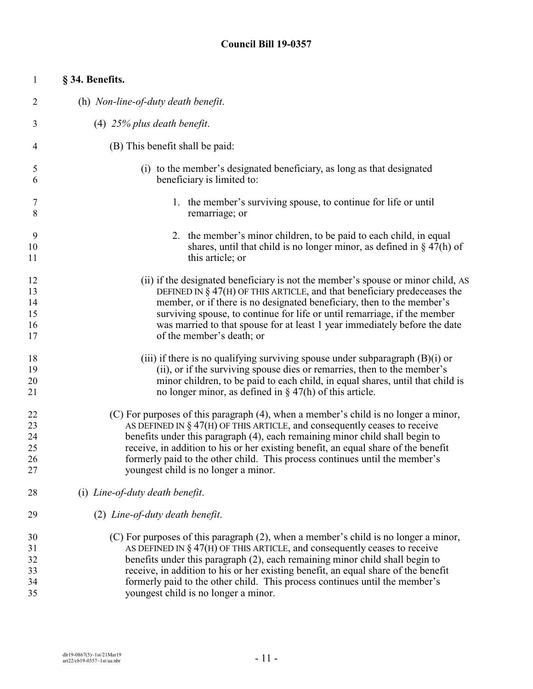| $\mathbf{1}$   | § 34. Benefits.                                                                     |
|----------------|-------------------------------------------------------------------------------------|
| $\overline{c}$ | (h) Non-line-of-duty death benefit.                                                 |
| 3              | $(4)$ 25% plus death benefit.                                                       |
| 4              | (B) This benefit shall be paid:                                                     |
| 5              | (i) to the member's designated beneficiary, as long as that designated              |
| 6              | beneficiary is limited to:                                                          |
| 7              | 1. the member's surviving spouse, to continue for life or until                     |
| 8              | remarriage; or                                                                      |
| 9              | 2. the member's minor children, to be paid to each child, in equal                  |
| 10             | shares, until that child is no longer minor, as defined in $\S$ 47(h) of            |
| 11             | this article; or                                                                    |
| 12             | (ii) if the designated beneficiary is not the member's spouse or minor child, AS    |
| 13             | DEFINED IN $\S$ 47(H) OF THIS ARTICLE, and that beneficiary predeceases the         |
| 14             | member, or if there is no designated beneficiary, then to the member's              |
| 15             | surviving spouse, to continue for life or until remarriage, if the member           |
| 16             | was married to that spouse for at least 1 year immediately before the date          |
| 17             | of the member's death; or                                                           |
| 18             | (iii) if there is no qualifying surviving spouse under subparagraph $(B)(i)$ or     |
| 19             | (ii), or if the surviving spouse dies or remarries, then to the member's            |
| 20             | minor children, to be paid to each child, in equal shares, until that child is      |
| 21             | no longer minor, as defined in $\S$ 47(h) of this article.                          |
| 22             | (C) For purposes of this paragraph (4), when a member's child is no longer a minor, |
| 23             | AS DEFINED IN $\S$ 47(H) OF THIS ARTICLE, and consequently ceases to receive        |
| 24             | benefits under this paragraph (4), each remaining minor child shall begin to        |
| 25             | receive, in addition to his or her existing benefit, an equal share of the benefit  |
| 26             | formerly paid to the other child. This process continues until the member's         |
| 27             | youngest child is no longer a minor.                                                |
| 28             | (i) Line-of-duty death benefit.                                                     |
| 29             | (2) Line-of-duty death benefit.                                                     |
| 30             | (C) For purposes of this paragraph (2), when a member's child is no longer a minor, |
| 31             | AS DEFINED IN $\S$ 47(H) OF THIS ARTICLE, and consequently ceases to receive        |
| 32             | benefits under this paragraph (2), each remaining minor child shall begin to        |
| 33             | receive, in addition to his or her existing benefit, an equal share of the benefit  |
| 34             | formerly paid to the other child. This process continues until the member's         |
| 35             | youngest child is no longer a minor.                                                |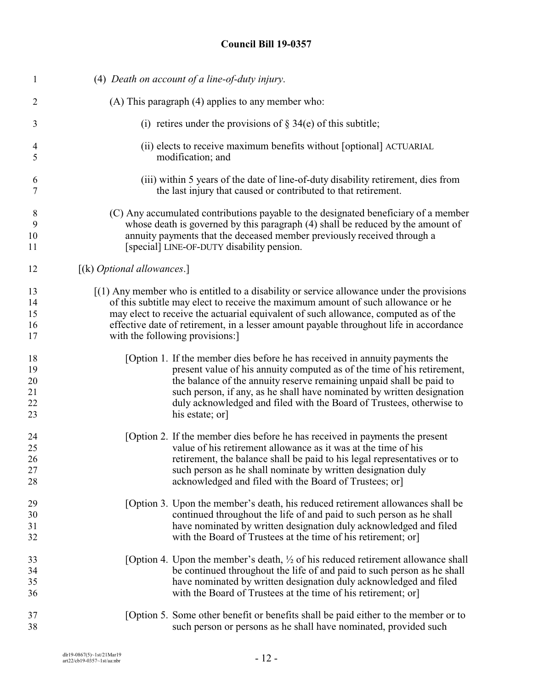| $\mathbf{1}$   | (4) Death on account of a line-of-duty injury.                                              |
|----------------|---------------------------------------------------------------------------------------------|
| $\overline{2}$ | (A) This paragraph (4) applies to any member who:                                           |
| 3              | (i) retires under the provisions of $\S$ 34(e) of this subtitle;                            |
| $\overline{4}$ | (ii) elects to receive maximum benefits without [optional] ACTUARIAL                        |
| 5              | modification; and                                                                           |
| 6              | (iii) within 5 years of the date of line-of-duty disability retirement, dies from           |
| 7              | the last injury that caused or contributed to that retirement.                              |
| 8              | (C) Any accumulated contributions payable to the designated beneficiary of a member         |
| 9              | whose death is governed by this paragraph (4) shall be reduced by the amount of             |
| 10             | annuity payments that the deceased member previously received through a                     |
| 11             | [special] LINE-OF-DUTY disability pension.                                                  |
| 12             | [(k) Optional allowances.]                                                                  |
| 13             | $[(1)$ Any member who is entitled to a disability or service allowance under the provisions |
| 14             | of this subtitle may elect to receive the maximum amount of such allowance or he            |
| 15             | may elect to receive the actuarial equivalent of such allowance, computed as of the         |
| 16             | effective date of retirement, in a lesser amount payable throughout life in accordance      |
| 17             | with the following provisions:                                                              |
| 18             | [Option 1. If the member dies before he has received in annuity payments the                |
| 19             | present value of his annuity computed as of the time of his retirement,                     |
| 20             | the balance of the annuity reserve remaining unpaid shall be paid to                        |
| 21             | such person, if any, as he shall have nominated by written designation                      |
| 22             | duly acknowledged and filed with the Board of Trustees, otherwise to                        |
| 23             | his estate; or                                                                              |
| 24             | [Option 2. If the member dies before he has received in payments the present                |
| 25             | value of his retirement allowance as it was at the time of his                              |
| 26             | retirement, the balance shall be paid to his legal representatives or to                    |
| 27             | such person as he shall nominate by written designation duly                                |
| 28             | acknowledged and filed with the Board of Trustees; or                                       |
| 29             | [Option 3. Upon the member's death, his reduced retirement allowances shall be              |
| 30             | continued throughout the life of and paid to such person as he shall                        |
| 31             | have nominated by written designation duly acknowledged and filed                           |
| 32             | with the Board of Trustees at the time of his retirement; or                                |
| 33             | [Option 4. Upon the member's death, $\frac{1}{2}$ of his reduced retirement allowance shall |
| 34             | be continued throughout the life of and paid to such person as he shall                     |
| 35             | have nominated by written designation duly acknowledged and filed                           |
| 36             | with the Board of Trustees at the time of his retirement; or                                |
| 37             | [Option 5. Some other benefit or benefits shall be paid either to the member or to          |
| 38             | such person or persons as he shall have nominated, provided such                            |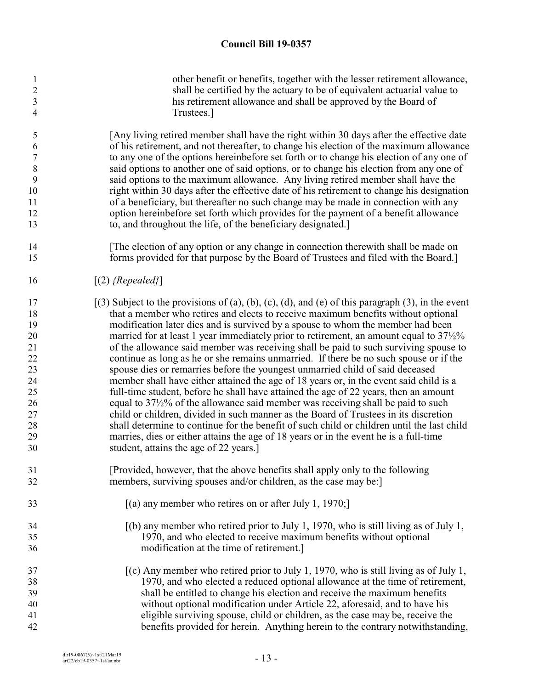| 1                | other benefit or benefits, together with the lesser retirement allowance,                          |
|------------------|----------------------------------------------------------------------------------------------------|
| $\overline{c}$   | shall be certified by the actuary to be of equivalent actuarial value to                           |
| $\mathfrak{Z}$   | his retirement allowance and shall be approved by the Board of                                     |
| $\overline{4}$   | Trustees.]                                                                                         |
| 5                | [Any living retired member shall have the right within 30 days after the effective date            |
| 6                | of his retirement, and not thereafter, to change his election of the maximum allowance             |
| $\boldsymbol{7}$ | to any one of the options hereinbefore set forth or to change his election of any one of           |
| 8                | said options to another one of said options, or to change his election from any one of             |
| 9                | said options to the maximum allowance. Any living retired member shall have the                    |
| 10               | right within 30 days after the effective date of his retirement to change his designation          |
| 11               | of a beneficiary, but thereafter no such change may be made in connection with any                 |
| 12               | option hereinbefore set forth which provides for the payment of a benefit allowance                |
| 13               | to, and throughout the life, of the beneficiary designated.]                                       |
| 14               | The election of any option or any change in connection therewith shall be made on                  |
| 15               | forms provided for that purpose by the Board of Trustees and filed with the Board.]                |
| 16               | $[(2)$ {Repealed}]                                                                                 |
| 17               | $(3)$ Subject to the provisions of (a), (b), (c), (d), and (e) of this paragraph (3), in the event |
| 18               | that a member who retires and elects to receive maximum benefits without optional                  |
| 19               | modification later dies and is survived by a spouse to whom the member had been                    |
| 20               | married for at least 1 year immediately prior to retirement, an amount equal to $37\frac{1}{2}\%$  |
| 21               | of the allowance said member was receiving shall be paid to such surviving spouse to               |
| 22               | continue as long as he or she remains unmarried. If there be no such spouse or if the              |
| 23               | spouse dies or remarries before the youngest unmarried child of said deceased                      |
| 24               | member shall have either attained the age of 18 years or, in the event said child is a             |
| 25               | full-time student, before he shall have attained the age of 22 years, then an amount               |
| 26               | equal to $37\frac{1}{2}\%$ of the allowance said member was receiving shall be paid to such        |
| 27               | child or children, divided in such manner as the Board of Trustees in its discretion               |
| 28               | shall determine to continue for the benefit of such child or children until the last child         |
| 29               | marries, dies or either attains the age of 18 years or in the event he is a full-time              |
| 30               | student, attains the age of 22 years.]                                                             |
| 31               | [Provided, however, that the above benefits shall apply only to the following                      |
| 32               | members, surviving spouses and/or children, as the case may be:                                    |
| 33               | $[(a)$ any member who retires on or after July 1, 1970;                                            |
| 34               | $(6)$ any member who retired prior to July 1, 1970, who is still living as of July 1,              |
| 35               | 1970, and who elected to receive maximum benefits without optional                                 |
| 36               | modification at the time of retirement.]                                                           |
| 37               | $[(c)$ Any member who retired prior to July 1, 1970, who is still living as of July 1,             |
| 38               | 1970, and who elected a reduced optional allowance at the time of retirement,                      |
| 39               | shall be entitled to change his election and receive the maximum benefits                          |
| 40               | without optional modification under Article 22, aforesaid, and to have his                         |
| 41               | eligible surviving spouse, child or children, as the case may be, receive the                      |
| 42               | benefits provided for herein. Anything herein to the contrary notwithstanding,                     |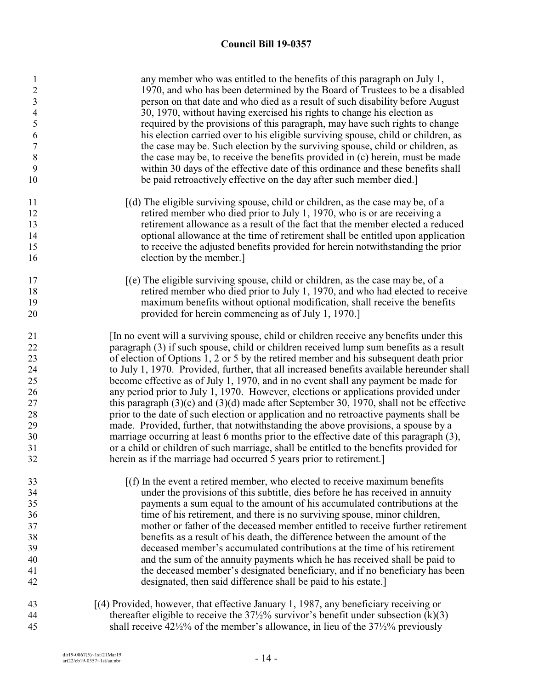| $\mathbf{1}$<br>$\boldsymbol{2}$<br>$\overline{\mathbf{3}}$<br>$\overline{4}$<br>5<br>6<br>$\boldsymbol{7}$<br>$\,8\,$<br>9<br>10 | any member who was entitled to the benefits of this paragraph on July 1,<br>1970, and who has been determined by the Board of Trustees to be a disabled<br>person on that date and who died as a result of such disability before August<br>30, 1970, without having exercised his rights to change his election as<br>required by the provisions of this paragraph, may have such rights to change<br>his election carried over to his eligible surviving spouse, child or children, as<br>the case may be. Such election by the surviving spouse, child or children, as<br>the case may be, to receive the benefits provided in (c) herein, must be made<br>within 30 days of the effective date of this ordinance and these benefits shall<br>be paid retroactively effective on the day after such member died.<br>$[(d)$ The eligible surviving spouse, child or children, as the case may be, of a                                                                                                                                                                                       |
|-----------------------------------------------------------------------------------------------------------------------------------|------------------------------------------------------------------------------------------------------------------------------------------------------------------------------------------------------------------------------------------------------------------------------------------------------------------------------------------------------------------------------------------------------------------------------------------------------------------------------------------------------------------------------------------------------------------------------------------------------------------------------------------------------------------------------------------------------------------------------------------------------------------------------------------------------------------------------------------------------------------------------------------------------------------------------------------------------------------------------------------------------------------------------------------------------------------------------------------------|
| 11                                                                                                                                |                                                                                                                                                                                                                                                                                                                                                                                                                                                                                                                                                                                                                                                                                                                                                                                                                                                                                                                                                                                                                                                                                                |
| 12                                                                                                                                | retired member who died prior to July 1, 1970, who is or are receiving a                                                                                                                                                                                                                                                                                                                                                                                                                                                                                                                                                                                                                                                                                                                                                                                                                                                                                                                                                                                                                       |
| 13                                                                                                                                | retirement allowance as a result of the fact that the member elected a reduced                                                                                                                                                                                                                                                                                                                                                                                                                                                                                                                                                                                                                                                                                                                                                                                                                                                                                                                                                                                                                 |
| 14                                                                                                                                | optional allowance at the time of retirement shall be entitled upon application                                                                                                                                                                                                                                                                                                                                                                                                                                                                                                                                                                                                                                                                                                                                                                                                                                                                                                                                                                                                                |
| 15                                                                                                                                | to receive the adjusted benefits provided for herein notwithstanding the prior                                                                                                                                                                                                                                                                                                                                                                                                                                                                                                                                                                                                                                                                                                                                                                                                                                                                                                                                                                                                                 |
| 16                                                                                                                                | election by the member.                                                                                                                                                                                                                                                                                                                                                                                                                                                                                                                                                                                                                                                                                                                                                                                                                                                                                                                                                                                                                                                                        |
| 17                                                                                                                                | $\alpha$ [(e) The eligible surviving spouse, child or children, as the case may be, of a                                                                                                                                                                                                                                                                                                                                                                                                                                                                                                                                                                                                                                                                                                                                                                                                                                                                                                                                                                                                       |
| 18                                                                                                                                | retired member who died prior to July 1, 1970, and who had elected to receive                                                                                                                                                                                                                                                                                                                                                                                                                                                                                                                                                                                                                                                                                                                                                                                                                                                                                                                                                                                                                  |
| 19                                                                                                                                | maximum benefits without optional modification, shall receive the benefits                                                                                                                                                                                                                                                                                                                                                                                                                                                                                                                                                                                                                                                                                                                                                                                                                                                                                                                                                                                                                     |
| 20                                                                                                                                | provided for herein commencing as of July 1, 1970.]                                                                                                                                                                                                                                                                                                                                                                                                                                                                                                                                                                                                                                                                                                                                                                                                                                                                                                                                                                                                                                            |
| 21<br>22<br>23<br>24<br>25<br>26<br>27<br>28<br>29<br>30<br>31<br>32                                                              | [In no event will a surviving spouse, child or children receive any benefits under this<br>paragraph (3) if such spouse, child or children received lump sum benefits as a result<br>of election of Options 1, 2 or 5 by the retired member and his subsequent death prior<br>to July 1, 1970. Provided, further, that all increased benefits available hereunder shall<br>become effective as of July 1, 1970, and in no event shall any payment be made for<br>any period prior to July 1, 1970. However, elections or applications provided under<br>this paragraph $(3)(c)$ and $(3)(d)$ made after September 30, 1970, shall not be effective<br>prior to the date of such election or application and no retroactive payments shall be<br>made. Provided, further, that notwithstanding the above provisions, a spouse by a<br>marriage occurring at least 6 months prior to the effective date of this paragraph (3),<br>or a child or children of such marriage, shall be entitled to the benefits provided for<br>herein as if the marriage had occurred 5 years prior to retirement. |
| 33                                                                                                                                | $[(f)$ In the event a retired member, who elected to receive maximum benefits                                                                                                                                                                                                                                                                                                                                                                                                                                                                                                                                                                                                                                                                                                                                                                                                                                                                                                                                                                                                                  |
| 34                                                                                                                                | under the provisions of this subtitle, dies before he has received in annuity                                                                                                                                                                                                                                                                                                                                                                                                                                                                                                                                                                                                                                                                                                                                                                                                                                                                                                                                                                                                                  |
| 35                                                                                                                                | payments a sum equal to the amount of his accumulated contributions at the                                                                                                                                                                                                                                                                                                                                                                                                                                                                                                                                                                                                                                                                                                                                                                                                                                                                                                                                                                                                                     |
| 36                                                                                                                                | time of his retirement, and there is no surviving spouse, minor children,                                                                                                                                                                                                                                                                                                                                                                                                                                                                                                                                                                                                                                                                                                                                                                                                                                                                                                                                                                                                                      |
| 37                                                                                                                                | mother or father of the deceased member entitled to receive further retirement                                                                                                                                                                                                                                                                                                                                                                                                                                                                                                                                                                                                                                                                                                                                                                                                                                                                                                                                                                                                                 |
| 38                                                                                                                                | benefits as a result of his death, the difference between the amount of the                                                                                                                                                                                                                                                                                                                                                                                                                                                                                                                                                                                                                                                                                                                                                                                                                                                                                                                                                                                                                    |
| 39                                                                                                                                | deceased member's accumulated contributions at the time of his retirement                                                                                                                                                                                                                                                                                                                                                                                                                                                                                                                                                                                                                                                                                                                                                                                                                                                                                                                                                                                                                      |
| 40                                                                                                                                | and the sum of the annuity payments which he has received shall be paid to                                                                                                                                                                                                                                                                                                                                                                                                                                                                                                                                                                                                                                                                                                                                                                                                                                                                                                                                                                                                                     |
| 41                                                                                                                                | the deceased member's designated beneficiary, and if no beneficiary has been                                                                                                                                                                                                                                                                                                                                                                                                                                                                                                                                                                                                                                                                                                                                                                                                                                                                                                                                                                                                                   |
| 42                                                                                                                                | designated, then said difference shall be paid to his estate.]                                                                                                                                                                                                                                                                                                                                                                                                                                                                                                                                                                                                                                                                                                                                                                                                                                                                                                                                                                                                                                 |
| 43                                                                                                                                | [(4) Provided, however, that effective January 1, 1987, any beneficiary receiving or                                                                                                                                                                                                                                                                                                                                                                                                                                                                                                                                                                                                                                                                                                                                                                                                                                                                                                                                                                                                           |
| 44                                                                                                                                | thereafter eligible to receive the $37\frac{1}{2}\%$ survivor's benefit under subsection (k)(3)                                                                                                                                                                                                                                                                                                                                                                                                                                                                                                                                                                                                                                                                                                                                                                                                                                                                                                                                                                                                |
| 45                                                                                                                                | shall receive $42\frac{1}{2}\%$ of the member's allowance, in lieu of the $37\frac{1}{2}\%$ previously                                                                                                                                                                                                                                                                                                                                                                                                                                                                                                                                                                                                                                                                                                                                                                                                                                                                                                                                                                                         |
|                                                                                                                                   |                                                                                                                                                                                                                                                                                                                                                                                                                                                                                                                                                                                                                                                                                                                                                                                                                                                                                                                                                                                                                                                                                                |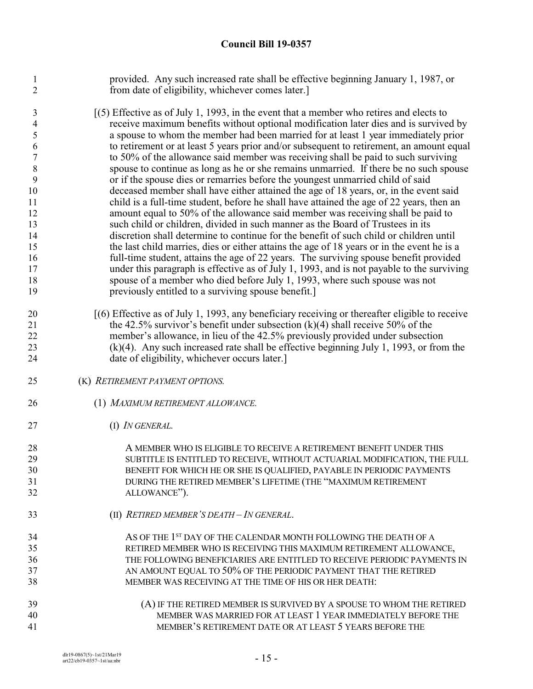provided. Any such increased rate shall be effective beginning January 1, 1987, or from date of eligibility, whichever comes later.]

 [(5) Effective as of July 1, 1993, in the event that a member who retires and elects to receive maximum benefits without optional modification later dies and is survived by a spouse to whom the member had been married for at least 1 year immediately prior to retirement or at least 5 years prior and/or subsequent to retirement, an amount equal to 50% of the allowance said member was receiving shall be paid to such surviving spouse to continue as long as he or she remains unmarried. If there be no such spouse or if the spouse dies or remarries before the youngest unmarried child of said deceased member shall have either attained the age of 18 years, or, in the event said child is a full-time student, before he shall have attained the age of 22 years, then an amount equal to 50% of the allowance said member was receiving shall be paid to such child or children, divided in such manner as the Board of Trustees in its discretion shall determine to continue for the benefit of such child or children until the last child marries, dies or either attains the age of 18 years or in the event he is a full-time student, attains the age of 22 years. The surviving spouse benefit provided under this paragraph is effective as of July 1, 1993, and is not payable to the surviving spouse of a member who died before July 1, 1993, where such spouse was not previously entitled to a surviving spouse benefit.]

- [(6) Effective as of July 1, 1993, any beneficiary receiving or thereafter eligible to receive 21 the 42.5% survivor's benefit under subsection  $(k)(4)$  shall receive 50% of the member's allowance, in lieu of the 42.5% previously provided under subsection (k)(4). Any such increased rate shall be effective beginning July 1, 1993, or from the date of eligibility, whichever occurs later.]
- (K) *RETIREMENT PAYMENT OPTIONS.*
- (1) *MAXIMUM RETIREMENT ALLOWANCE.*
- (I) *IN GENERAL.*

28 A MEMBER WHO IS ELIGIBLE TO RECEIVE A RETIREMENT BENEFIT UNDER THIS<br>29 SUBTITLE IS ENTITLED TO RECEIVE. WITHOUT ACTUARIAL MODIFICATION. THE SUBTITLE IS ENTITLED TO RECEIVE, WITHOUT ACTUARIAL MODIFICATION, THE FULL BENEFIT FOR WHICH HE OR SHE IS QUALIFIED, PAYABLE IN PERIODIC PAYMENTS DURING THE RETIRED MEMBER'S LIFETIME (THE "MAXIMUM RETIREMENT ALLOWANCE"). (II) *RETIRED MEMBER'S DEATH – IN GENERAL*.

- 34 AS OF THE 1<sup>st</sup> DAY OF THE CALENDAR MONTH FOLLOWING THE DEATH OF A RETIRED MEMBER WHO IS RECEIVING THIS MAXIMUM RETIREMENT ALLOWANCE, THE FOLLOWING BENEFICIARIES ARE ENTITLED TO RECEIVE PERIODIC PAYMENTS IN AN AMOUNT EQUAL TO 50% OF THE PERIODIC PAYMENT THAT THE RETIRED
- MEMBER WAS RECEIVING AT THE TIME OF HIS OR HER DEATH: (A) IF THE RETIRED MEMBER IS SURVIVED BY A SPOUSE TO WHOM THE RETIRED MEMBER WAS MARRIED FOR AT LEAST 1 YEAR IMMEDIATELY BEFORE THE MEMBER'S RETIREMENT DATE OR AT LEAST 5 YEARS BEFORE THE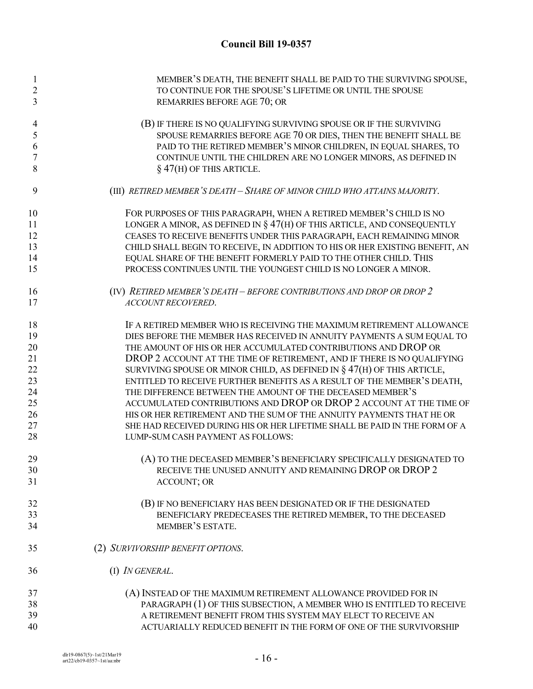| 1              | MEMBER'S DEATH, THE BENEFIT SHALL BE PAID TO THE SURVIVING SPOUSE,           |
|----------------|------------------------------------------------------------------------------|
| $\overline{c}$ | TO CONTINUE FOR THE SPOUSE'S LIFETIME OR UNTIL THE SPOUSE                    |
| 3              | REMARRIES BEFORE AGE 70; OR                                                  |
| 4              | (B) IF THERE IS NO QUALIFYING SURVIVING SPOUSE OR IF THE SURVIVING           |
| 5              | SPOUSE REMARRIES BEFORE AGE 70 OR DIES, THEN THE BENEFIT SHALL BE            |
| 6              | PAID TO THE RETIRED MEMBER'S MINOR CHILDREN, IN EQUAL SHARES, TO             |
| $\overline{7}$ | CONTINUE UNTIL THE CHILDREN ARE NO LONGER MINORS, AS DEFINED IN              |
| 8              | $\S$ 47(H) OF THIS ARTICLE.                                                  |
| 9              | (III) RETIRED MEMBER'S DEATH - SHARE OF MINOR CHILD WHO ATTAINS MAJORITY.    |
| 10             | FOR PURPOSES OF THIS PARAGRAPH, WHEN A RETIRED MEMBER'S CHILD IS NO          |
| 11             | LONGER A MINOR, AS DEFINED IN $\S 47(H)$ OF THIS ARTICLE, AND CONSEQUENTLY   |
| 12             | CEASES TO RECEIVE BENEFITS UNDER THIS PARAGRAPH, EACH REMAINING MINOR        |
| 13             | CHILD SHALL BEGIN TO RECEIVE, IN ADDITION TO HIS OR HER EXISTING BENEFIT, AN |
| 14             | EQUAL SHARE OF THE BENEFIT FORMERLY PAID TO THE OTHER CHILD. THIS            |
| 15             | PROCESS CONTINUES UNTIL THE YOUNGEST CHILD IS NO LONGER A MINOR.             |
| 16             | (IV) RETIRED MEMBER'S DEATH - BEFORE CONTRIBUTIONS AND DROP OR DROP 2        |
| 17             | ACCOUNT RECOVERED.                                                           |
| 18             | IF A RETIRED MEMBER WHO IS RECEIVING THE MAXIMUM RETIREMENT ALLOWANCE        |
| 19             | DIES BEFORE THE MEMBER HAS RECEIVED IN ANNUITY PAYMENTS A SUM EQUAL TO       |
| 20             | THE AMOUNT OF HIS OR HER ACCUMULATED CONTRIBUTIONS AND DROP OR               |
| 21             | DROP 2 ACCOUNT AT THE TIME OF RETIREMENT, AND IF THERE IS NO QUALIFYING      |
| 22             | SURVIVING SPOUSE OR MINOR CHILD, AS DEFINED IN $\S 47(H)$ OF THIS ARTICLE,   |
| 23             | ENTITLED TO RECEIVE FURTHER BENEFITS AS A RESULT OF THE MEMBER'S DEATH,      |
| 24             | THE DIFFERENCE BETWEEN THE AMOUNT OF THE DECEASED MEMBER'S                   |
| 25             | ACCUMULATED CONTRIBUTIONS AND DROP OR DROP 2 ACCOUNT AT THE TIME OF          |
| 26             | HIS OR HER RETIREMENT AND THE SUM OF THE ANNUITY PAYMENTS THAT HE OR         |
| 27             | SHE HAD RECEIVED DURING HIS OR HER LIFETIME SHALL BE PAID IN THE FORM OF A   |
| 28             | LUMP-SUM CASH PAYMENT AS FOLLOWS:                                            |
| 29             | (A) TO THE DECEASED MEMBER'S BENEFICIARY SPECIFICALLY DESIGNATED TO          |
| 30             | RECEIVE THE UNUSED ANNUITY AND REMAINING DROP OR DROP 2                      |
| 31             | <b>ACCOUNT; OR</b>                                                           |
| 32             | (B) IF NO BENEFICIARY HAS BEEN DESIGNATED OR IF THE DESIGNATED               |
| 33             | BENEFICIARY PREDECEASES THE RETIRED MEMBER, TO THE DECEASED                  |
| 34             | MEMBER'S ESTATE.                                                             |
| 35             | (2) SURVIVORSHIP BENEFIT OPTIONS.                                            |
| 36             | (I) <i>IN GENERAL</i> .                                                      |
| 37             | (A) INSTEAD OF THE MAXIMUM RETIREMENT ALLOWANCE PROVIDED FOR IN              |
| 38             | PARAGRAPH (1) OF THIS SUBSECTION, A MEMBER WHO IS ENTITLED TO RECEIVE        |
| 39             | A RETIREMENT BENEFIT FROM THIS SYSTEM MAY ELECT TO RECEIVE AN                |
| 40             | ACTUARIALLY REDUCED BENEFIT IN THE FORM OF ONE OF THE SURVIVORSHIP           |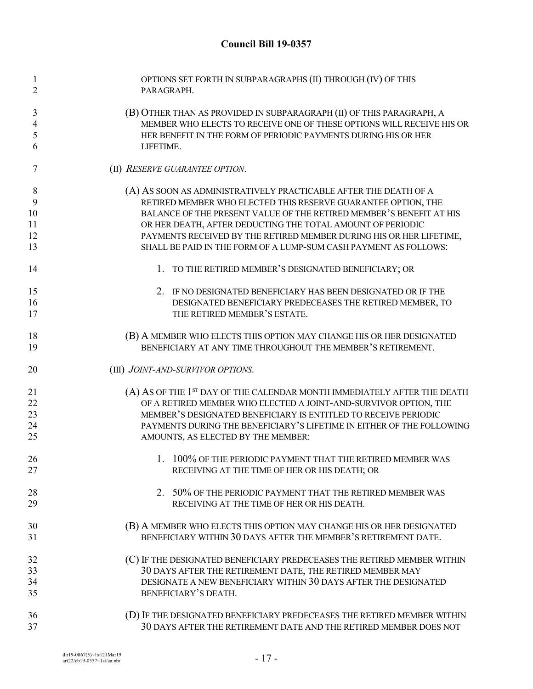| $\mathbf{1}$<br>$\overline{2}$ | OPTIONS SET FORTH IN SUBPARAGRAPHS (II) THROUGH (IV) OF THIS<br>PARAGRAPH.                               |
|--------------------------------|----------------------------------------------------------------------------------------------------------|
| 3                              | (B) OTHER THAN AS PROVIDED IN SUBPARAGRAPH (II) OF THIS PARAGRAPH, A                                     |
| $\overline{4}$                 | MEMBER WHO ELECTS TO RECEIVE ONE OF THESE OPTIONS WILL RECEIVE HIS OR                                    |
| 5                              | HER BENEFIT IN THE FORM OF PERIODIC PAYMENTS DURING HIS OR HER                                           |
| 6                              | LIFETIME.                                                                                                |
| 7                              | (II) RESERVE GUARANTEE OPTION.                                                                           |
| 8                              | (A) AS SOON AS ADMINISTRATIVELY PRACTICABLE AFTER THE DEATH OF A                                         |
| 9                              | RETIRED MEMBER WHO ELECTED THIS RESERVE GUARANTEE OPTION, THE                                            |
| 10                             | BALANCE OF THE PRESENT VALUE OF THE RETIRED MEMBER'S BENEFIT AT HIS                                      |
| 11                             | OR HER DEATH, AFTER DEDUCTING THE TOTAL AMOUNT OF PERIODIC                                               |
| 12                             | PAYMENTS RECEIVED BY THE RETIRED MEMBER DURING HIS OR HER LIFETIME,                                      |
| 13                             | SHALL BE PAID IN THE FORM OF A LUMP-SUM CASH PAYMENT AS FOLLOWS:                                         |
| 14                             | 1. TO THE RETIRED MEMBER'S DESIGNATED BENEFICIARY; OR                                                    |
| 15                             | 2. IF NO DESIGNATED BENEFICIARY HAS BEEN DESIGNATED OR IF THE                                            |
| 16                             | DESIGNATED BENEFICIARY PREDECEASES THE RETIRED MEMBER, TO                                                |
| 17                             | THE RETIRED MEMBER'S ESTATE.                                                                             |
| 18                             | (B) A MEMBER WHO ELECTS THIS OPTION MAY CHANGE HIS OR HER DESIGNATED                                     |
| 19                             | BENEFICIARY AT ANY TIME THROUGHOUT THE MEMBER'S RETIREMENT.                                              |
| 20                             | (III) JOINT-AND-SURVIVOR OPTIONS.                                                                        |
| 21                             | (A) AS OF THE 1 <sup>ST</sup> DAY OF THE CALENDAR MONTH IMMEDIATELY AFTER THE DEATH                      |
| 22                             | OF A RETIRED MEMBER WHO ELECTED A JOINT-AND-SURVIVOR OPTION, THE                                         |
| 23                             | MEMBER'S DESIGNATED BENEFICIARY IS ENTITLED TO RECEIVE PERIODIC                                          |
| 24                             | PAYMENTS DURING THE BENEFICIARY'S LIFETIME IN EITHER OF THE FOLLOWING                                    |
| 25                             | AMOUNTS, AS ELECTED BY THE MEMBER:                                                                       |
| 26                             | 1. 100% OF THE PERIODIC PAYMENT THAT THE RETIRED MEMBER WAS                                              |
|                                |                                                                                                          |
| 27                             | RECEIVING AT THE TIME OF HER OR HIS DEATH; OR                                                            |
|                                |                                                                                                          |
| 28<br>29                       | 2. 50% OF THE PERIODIC PAYMENT THAT THE RETIRED MEMBER WAS<br>RECEIVING AT THE TIME OF HER OR HIS DEATH. |
| 30                             | (B) A MEMBER WHO ELECTS THIS OPTION MAY CHANGE HIS OR HER DESIGNATED                                     |
| 31                             | BENEFICIARY WITHIN 30 DAYS AFTER THE MEMBER'S RETIREMENT DATE.                                           |
| 32                             | (C) IF THE DESIGNATED BENEFICIARY PREDECEASES THE RETIRED MEMBER WITHIN                                  |
| 33                             | 30 DAYS AFTER THE RETIREMENT DATE, THE RETIRED MEMBER MAY                                                |
| 34                             | DESIGNATE A NEW BENEFICIARY WITHIN 30 DAYS AFTER THE DESIGNATED                                          |
| 35                             | BENEFICIARY'S DEATH.                                                                                     |
| 36                             | (D) IF THE DESIGNATED BENEFICIARY PREDECEASES THE RETIRED MEMBER WITHIN                                  |
| 37                             | 30 DAYS AFTER THE RETIREMENT DATE AND THE RETIRED MEMBER DOES NOT                                        |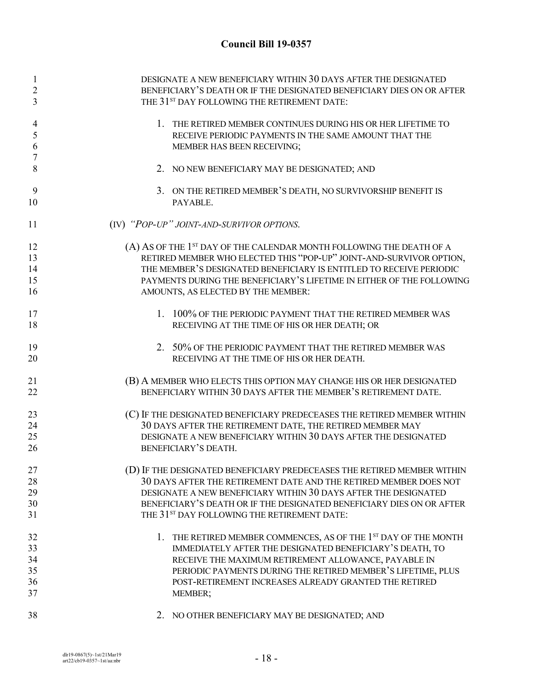| 1<br>$\overline{2}$<br>3 | DESIGNATE A NEW BENEFICIARY WITHIN 30 DAYS AFTER THE DESIGNATED<br>BENEFICIARY'S DEATH OR IF THE DESIGNATED BENEFICIARY DIES ON OR AFTER<br>THE 31 <sup>ST</sup> DAY FOLLOWING THE RETIREMENT DATE: |
|--------------------------|-----------------------------------------------------------------------------------------------------------------------------------------------------------------------------------------------------|
| 4<br>5<br>6<br>7         | 1. THE RETIRED MEMBER CONTINUES DURING HIS OR HER LIFETIME TO<br>RECEIVE PERIODIC PAYMENTS IN THE SAME AMOUNT THAT THE<br>MEMBER HAS BEEN RECEIVING;                                                |
| 8                        | 2. NO NEW BENEFICIARY MAY BE DESIGNATED; AND                                                                                                                                                        |
| 9<br>10                  | 3. ON THE RETIRED MEMBER'S DEATH, NO SURVIVORSHIP BENEFIT IS<br>PAYABLE.                                                                                                                            |
| 11                       | (IV) "POP-UP" JOINT-AND-SURVIVOR OPTIONS.                                                                                                                                                           |
| 12                       | (A) AS OF THE 1 <sup>ST</sup> DAY OF THE CALENDAR MONTH FOLLOWING THE DEATH OF A                                                                                                                    |
| 13                       | RETIRED MEMBER WHO ELECTED THIS "POP-UP" JOINT-AND-SURVIVOR OPTION,                                                                                                                                 |
| 14                       | THE MEMBER'S DESIGNATED BENEFICIARY IS ENTITLED TO RECEIVE PERIODIC                                                                                                                                 |
| 15                       | PAYMENTS DURING THE BENEFICIARY'S LIFETIME IN EITHER OF THE FOLLOWING                                                                                                                               |
| 16                       | AMOUNTS, AS ELECTED BY THE MEMBER:                                                                                                                                                                  |
| 17                       | 1. 100% OF THE PERIODIC PAYMENT THAT THE RETIRED MEMBER WAS                                                                                                                                         |
| 18                       | RECEIVING AT THE TIME OF HIS OR HER DEATH; OR                                                                                                                                                       |
| 19                       | 2. 50% OF THE PERIODIC PAYMENT THAT THE RETIRED MEMBER WAS                                                                                                                                          |
| 20                       | RECEIVING AT THE TIME OF HIS OR HER DEATH.                                                                                                                                                          |
| 21                       | (B) A MEMBER WHO ELECTS THIS OPTION MAY CHANGE HIS OR HER DESIGNATED                                                                                                                                |
| 22                       | BENEFICIARY WITHIN 30 DAYS AFTER THE MEMBER'S RETIREMENT DATE.                                                                                                                                      |
| 23                       | (C) IF THE DESIGNATED BENEFICIARY PREDECEASES THE RETIRED MEMBER WITHIN                                                                                                                             |
| 24                       | 30 DAYS AFTER THE RETIREMENT DATE, THE RETIRED MEMBER MAY                                                                                                                                           |
| 25                       | DESIGNATE A NEW BENEFICIARY WITHIN 30 DAYS AFTER THE DESIGNATED                                                                                                                                     |
| 26                       | BENEFICIARY'S DEATH.                                                                                                                                                                                |
| 27                       | (D) IF THE DESIGNATED BENEFICIARY PREDECEASES THE RETIRED MEMBER WITHIN                                                                                                                             |
| 28                       | 30 DAYS AFTER THE RETIREMENT DATE AND THE RETIRED MEMBER DOES NOT                                                                                                                                   |
| 29                       | DESIGNATE A NEW BENEFICIARY WITHIN 30 DAYS AFTER THE DESIGNATED                                                                                                                                     |
| 30                       | BENEFICIARY'S DEATH OR IF THE DESIGNATED BENEFICIARY DIES ON OR AFTER                                                                                                                               |
| 31                       | THE 31 <sup>ST</sup> DAY FOLLOWING THE RETIREMENT DATE:                                                                                                                                             |
| 32                       | 1. THE RETIRED MEMBER COMMENCES, AS OF THE 1ST DAY OF THE MONTH                                                                                                                                     |
| 33                       | IMMEDIATELY AFTER THE DESIGNATED BENEFICIARY'S DEATH, TO                                                                                                                                            |
| 34                       | RECEIVE THE MAXIMUM RETIREMENT ALLOWANCE, PAYABLE IN                                                                                                                                                |
| 35                       | PERIODIC PAYMENTS DURING THE RETIRED MEMBER'S LIFETIME, PLUS                                                                                                                                        |
| 36                       | POST-RETIREMENT INCREASES ALREADY GRANTED THE RETIRED                                                                                                                                               |
| 37                       | MEMBER;                                                                                                                                                                                             |
| 38                       | 2. NO OTHER BENEFICIARY MAY BE DESIGNATED; AND                                                                                                                                                      |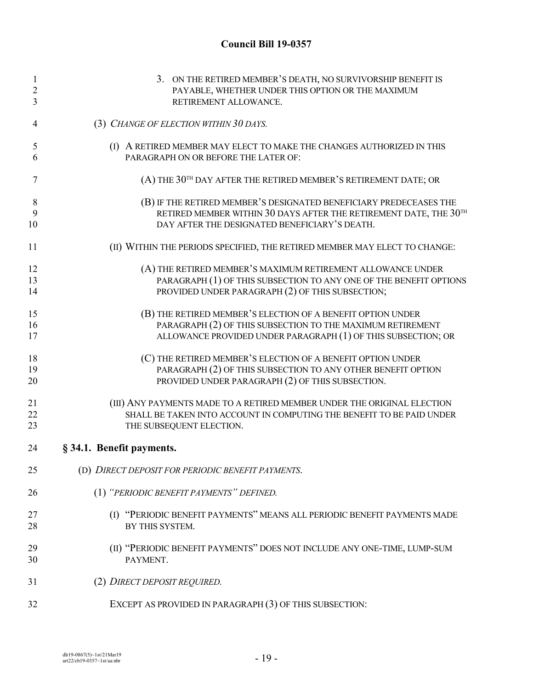| $\mathbf{1}$   | 3. ON THE RETIRED MEMBER'S DEATH, NO SURVIVORSHIP BENEFIT IS               |
|----------------|----------------------------------------------------------------------------|
| $\overline{2}$ | PAYABLE, WHETHER UNDER THIS OPTION OR THE MAXIMUM                          |
| 3              | RETIREMENT ALLOWANCE.                                                      |
| 4              | (3) CHANGE OF ELECTION WITHIN 30 DAYS.                                     |
| 5              | (I) A RETIRED MEMBER MAY ELECT TO MAKE THE CHANGES AUTHORIZED IN THIS      |
| 6              | PARAGRAPH ON OR BEFORE THE LATER OF:                                       |
| 7              | (A) THE 30TH DAY AFTER THE RETIRED MEMBER'S RETIREMENT DATE; OR            |
| 8              | (B) IF THE RETIRED MEMBER'S DESIGNATED BENEFICIARY PREDECEASES THE         |
| 9              | RETIRED MEMBER WITHIN 30 DAYS AFTER THE RETIREMENT DATE, THE 30TH          |
| 10             | DAY AFTER THE DESIGNATED BENEFICIARY'S DEATH.                              |
| 11             | (II) WITHIN THE PERIODS SPECIFIED, THE RETIRED MEMBER MAY ELECT TO CHANGE: |
| 12             | (A) THE RETIRED MEMBER'S MAXIMUM RETIREMENT ALLOWANCE UNDER                |
| 13             | PARAGRAPH (1) OF THIS SUBSECTION TO ANY ONE OF THE BENEFIT OPTIONS         |
| 14             | PROVIDED UNDER PARAGRAPH (2) OF THIS SUBSECTION;                           |
| 15             | (B) THE RETIRED MEMBER'S ELECTION OF A BENEFIT OPTION UNDER                |
| 16             | PARAGRAPH (2) OF THIS SUBSECTION TO THE MAXIMUM RETIREMENT                 |
| 17             | ALLOWANCE PROVIDED UNDER PARAGRAPH (1) OF THIS SUBSECTION; OR              |
| 18             | (C) THE RETIRED MEMBER'S ELECTION OF A BENEFIT OPTION UNDER                |
| 19             | PARAGRAPH (2) OF THIS SUBSECTION TO ANY OTHER BENEFIT OPTION               |
| 20             | PROVIDED UNDER PARAGRAPH (2) OF THIS SUBSECTION.                           |
| 21             | (III) ANY PAYMENTS MADE TO A RETIRED MEMBER UNDER THE ORIGINAL ELECTION    |
| 22             | SHALL BE TAKEN INTO ACCOUNT IN COMPUTING THE BENEFIT TO BE PAID UNDER      |
| 23             | THE SUBSEQUENT ELECTION.                                                   |
| 24             | § 34.1. Benefit payments.                                                  |
| 25             | (D) DIRECT DEPOSIT FOR PERIODIC BENEFIT PAYMENTS.                          |
| 26             | (1) "PERIODIC BENEFIT PAYMENTS" DEFINED.                                   |
| 27             | (I) "PERIODIC BENEFIT PAYMENTS" MEANS ALL PERIODIC BENEFIT PAYMENTS MADE   |
| 28             | BY THIS SYSTEM.                                                            |
| 29             | (II) "PERIODIC BENEFIT PAYMENTS" DOES NOT INCLUDE ANY ONE-TIME, LUMP-SUM   |
| 30             | PAYMENT.                                                                   |
| 31             | (2) DIRECT DEPOSIT REQUIRED.                                               |
| 32             | EXCEPT AS PROVIDED IN PARAGRAPH (3) OF THIS SUBSECTION:                    |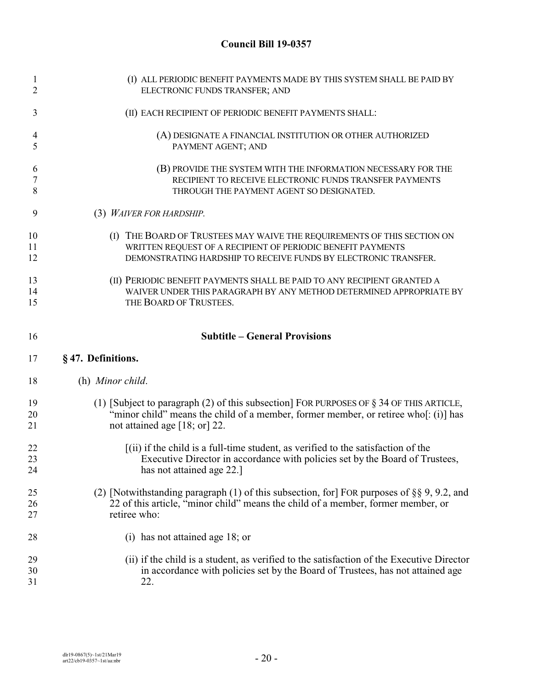| $\mathbf{1}$ | (I) ALL PERIODIC BENEFIT PAYMENTS MADE BY THIS SYSTEM SHALL BE PAID BY                        |
|--------------|-----------------------------------------------------------------------------------------------|
| 2            | ELECTRONIC FUNDS TRANSFER; AND                                                                |
| 3            | (II) EACH RECIPIENT OF PERIODIC BENEFIT PAYMENTS SHALL:                                       |
| 4            | (A) DESIGNATE A FINANCIAL INSTITUTION OR OTHER AUTHORIZED                                     |
| 5            | PAYMENT AGENT; AND                                                                            |
| 6            | (B) PROVIDE THE SYSTEM WITH THE INFORMATION NECESSARY FOR THE                                 |
| 7            | RECIPIENT TO RECEIVE ELECTRONIC FUNDS TRANSFER PAYMENTS                                       |
| 8            | THROUGH THE PAYMENT AGENT SO DESIGNATED.                                                      |
| 9            | (3) WAIVER FOR HARDSHIP.                                                                      |
| 10           | (I) THE BOARD OF TRUSTEES MAY WAIVE THE REQUIREMENTS OF THIS SECTION ON                       |
| 11           | WRITTEN REQUEST OF A RECIPIENT OF PERIODIC BENEFIT PAYMENTS                                   |
| 12           | DEMONSTRATING HARDSHIP TO RECEIVE FUNDS BY ELECTRONIC TRANSFER.                               |
| 13           | (II) PERIODIC BENEFIT PAYMENTS SHALL BE PAID TO ANY RECIPIENT GRANTED A                       |
| 14           | WAIVER UNDER THIS PARAGRAPH BY ANY METHOD DETERMINED APPROPRIATE BY                           |
| 15           | THE BOARD OF TRUSTEES.                                                                        |
| 16           | <b>Subtitle - General Provisions</b>                                                          |
| 17           | §47. Definitions.                                                                             |
| 18           | (h) Minor child.                                                                              |
| 19           | (1) [Subject to paragraph (2) of this subsection] FOR PURPOSES OF $\S$ 34 OF THIS ARTICLE,    |
| 20           | "minor child" means the child of a member, former member, or retiree who[: (i)] has           |
| 21           | not attained age $[18; or]$ 22.                                                               |
| 22           | $(iii)$ if the child is a full-time student, as verified to the satisfaction of the           |
| 23           | Executive Director in accordance with policies set by the Board of Trustees,                  |
| 24           | has not attained age 22.]                                                                     |
| 25           | (2) [Notwithstanding paragraph (1) of this subsection, for FOR purposes of $\S$ § 9, 9.2, and |
| 26           | 22 of this article, "minor child" means the child of a member, former member, or              |
| 27           | retiree who:                                                                                  |
| 28           | (i) has not attained age 18; or                                                               |
| 29           | (ii) if the child is a student, as verified to the satisfaction of the Executive Director     |
| 30           | in accordance with policies set by the Board of Trustees, has not attained age                |
| 31           | 22.                                                                                           |